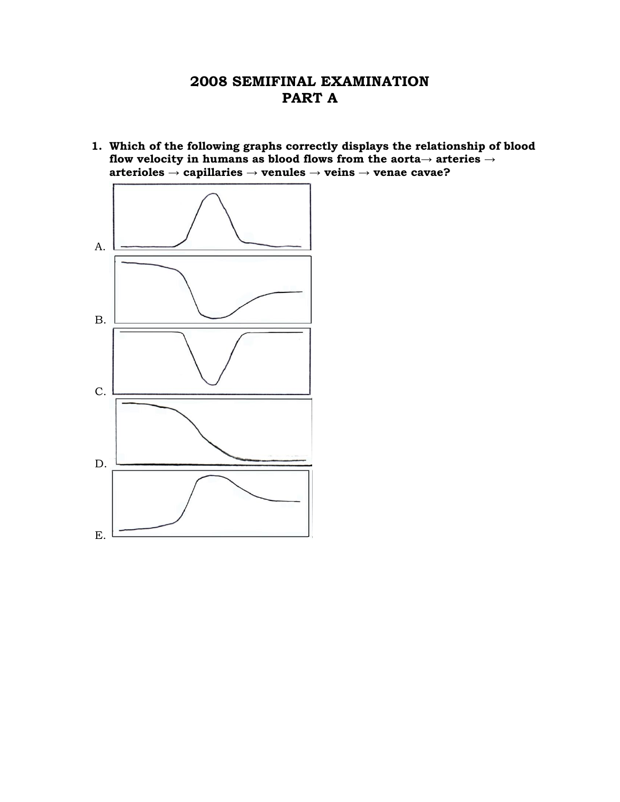# **2008 SEMIFINAL EXAMINATION PART A**

**1. Which of the following graphs correctly displays the relationship of blood flow velocity in humans as blood flows from the aorta→ arteries → arterioles → capillaries → venules → veins → venae cavae?**

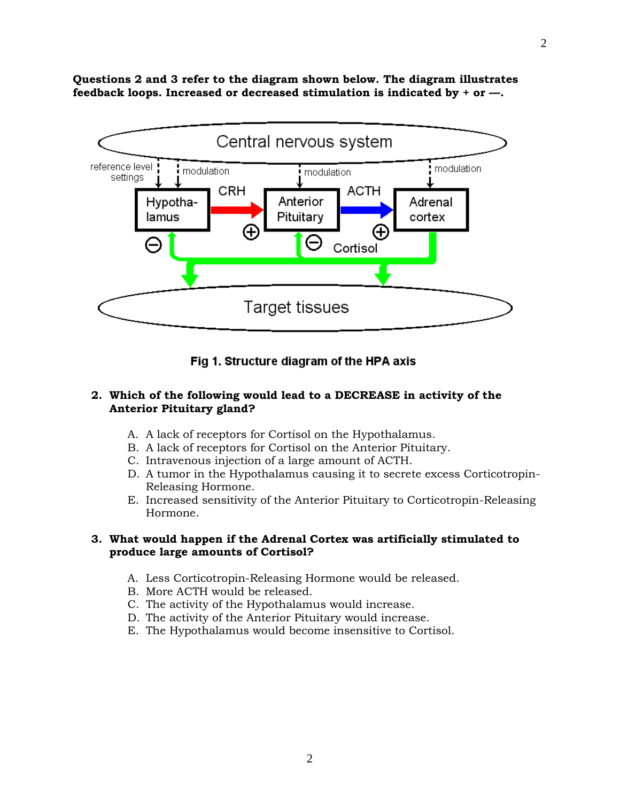**Questions 2 and 3 refer to the diagram shown below. The diagram illustrates feedback loops. Increased or decreased stimulation is indicated by + or —.**



Fig 1. Structure diagram of the HPA axis

#### **2. Which of the following would lead to a DECREASE in activity of the Anterior Pituitary gland?**

- A. A lack of receptors for Cortisol on the Hypothalamus.
- B. A lack of receptors for Cortisol on the Anterior Pituitary.
- C. Intravenous injection of a large amount of ACTH.
- D. A tumor in the Hypothalamus causing it to secrete excess Corticotropin- Releasing Hormone.
- E. Increased sensitivity of the Anterior Pituitary to Corticotropin-Releasing Hormone.

#### **3. What would happen if the Adrenal Cortex was artificially stimulated to produce large amounts of Cortisol?**

- A. Less Corticotropin-Releasing Hormone would be released.
- B. More ACTH would be released.
- C. The activity of the Hypothalamus would increase.
- D. The activity of the Anterior Pituitary would increase.
- E. The Hypothalamus would become insensitive to Cortisol.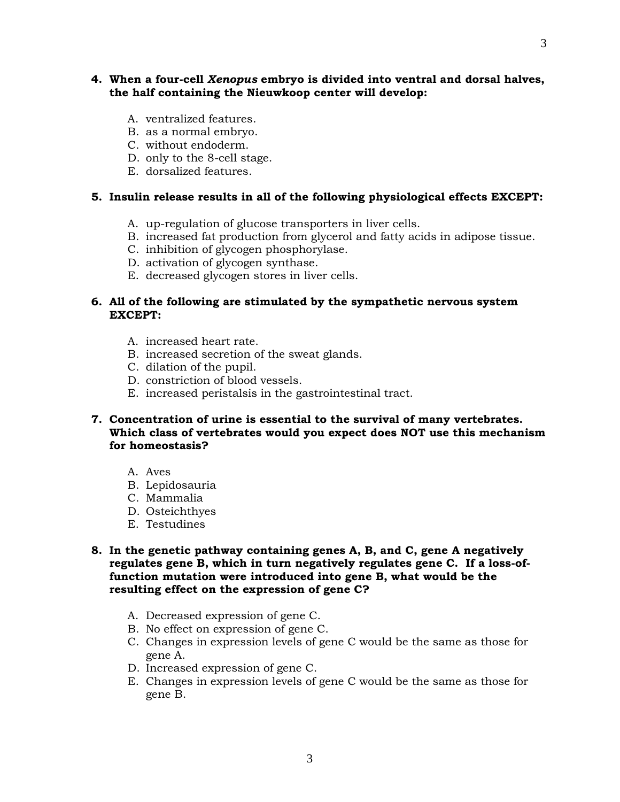## **4. When a four-cell** *Xenopus* **embryo is divided into ventral and dorsal halves, the half containing the Nieuwkoop center will develop:**

- A. ventralized features.
- B. as a normal embryo.
- C. without endoderm.
- D. only to the 8-cell stage.
- E. dorsalized features.

### **5. Insulin release results in all of the following physiological effects EXCEPT:**

- A. up-regulation of glucose transporters in liver cells.
- B. increased fat production from glycerol and fatty acids in adipose tissue.
- C. inhibition of glycogen phosphorylase.
- D. activation of glycogen synthase.
- E. decreased glycogen stores in liver cells.

## **6. All of the following are stimulated by the sympathetic nervous system EXCEPT:**

- A. increased heart rate.
- B. increased secretion of the sweat glands.
- C. dilation of the pupil.
- D. constriction of blood vessels.
- E. increased peristalsis in the gastrointestinal tract.

## **7. Concentration of urine is essential to the survival of many vertebrates. Which class of vertebrates would you expect does NOT use this mechanism for homeostasis?**

- A. Aves
- B. Lepidosauria
- C. Mammalia
- D. Osteichthyes
- E. Testudines
- **8. In the genetic pathway containing genes A, B, and C, gene A negatively regulates gene B, which in turn negatively regulates gene C. If a loss-offunction mutation were introduced into gene B, what would be the resulting effect on the expression of gene C?**
	- A. Decreased expression of gene C.
	- B. No effect on expression of gene C.
	- C. Changes in expression levels of gene C would be the same as those for gene A.
	- D. Increased expression of gene C.
	- E. Changes in expression levels of gene C would be the same as those for gene B.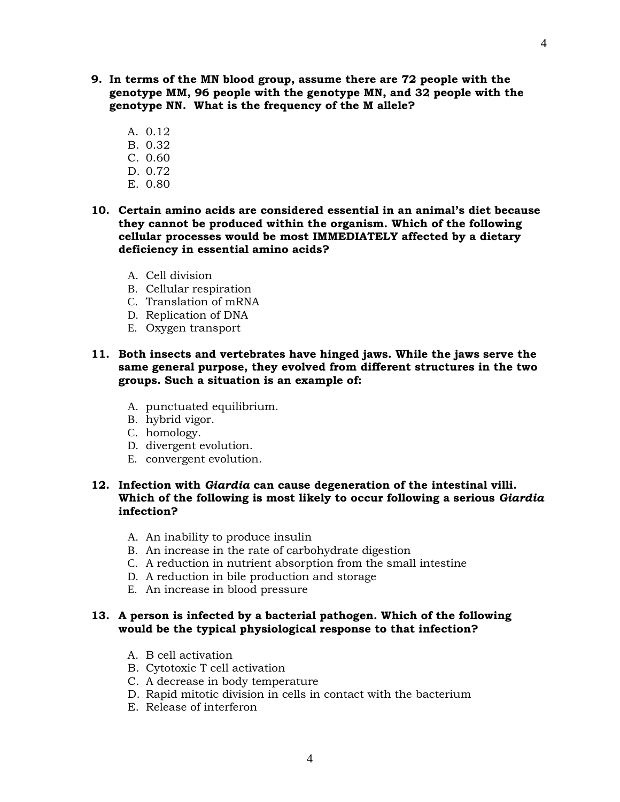- **9. In terms of the MN blood group, assume there are 72 people with the genotype MM, 96 people with the genotype MN, and 32 people with the genotype NN. What is the frequency of the M allele?**
	- A. 0.12
	- B. 0.32
	- C. 0.60
	- D. 0.72
	- E. 0.80
- **10. Certain amino acids are considered essential in an animal's diet because they cannot be produced within the organism. Which of the following cellular processes would be most IMMEDIATELY affected by a dietary deficiency in essential amino acids?**
	- A. Cell division
	- B. Cellular respiration
	- C. Translation of mRNA
	- D. Replication of DNA
	- E. Oxygen transport
- **11. Both insects and vertebrates have hinged jaws. While the jaws serve the same general purpose, they evolved from different structures in the two groups. Such a situation is an example of:**
	- A. punctuated equilibrium.
	- B. hybrid vigor.
	- C. homology.
	- D. divergent evolution.
	- E. convergent evolution.

### **12. Infection with** *Giardia* **can cause degeneration of the intestinal villi. Which of the following is most likely to occur following a serious** *Giardia* **infection?**

- A. An inability to produce insulin
- B. An increase in the rate of carbohydrate digestion
- C. A reduction in nutrient absorption from the small intestine
- D. A reduction in bile production and storage
- E. An increase in blood pressure

#### **13. A person is infected by a bacterial pathogen. Which of the following would be the typical physiological response to that infection?**

- A. B cell activation
- B. Cytotoxic T cell activation
- C. A decrease in body temperature
- D. Rapid mitotic division in cells in contact with the bacterium
- E. Release of interferon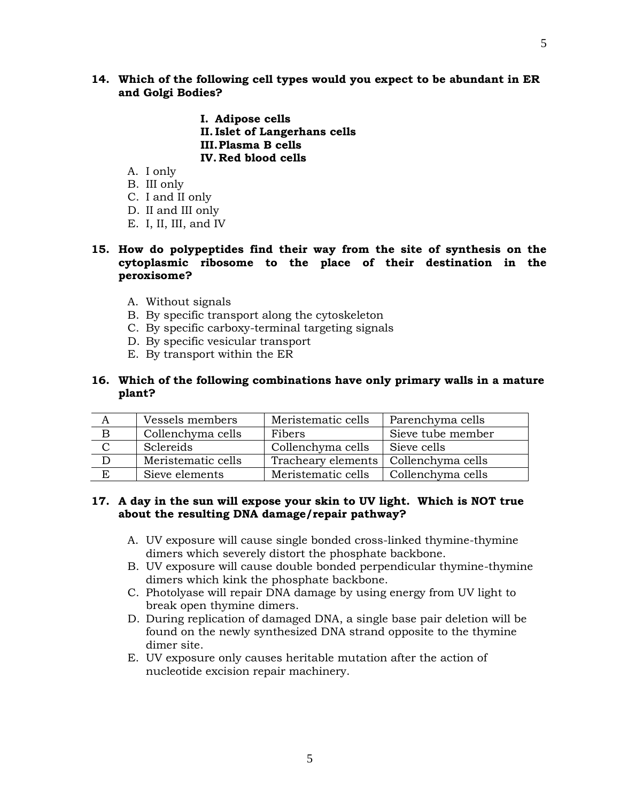5

- **I. Adipose cells II. Islet of Langerhans cells III.Plasma B cells IV. Red blood cells**
- A. I only
- B. III only
- C. I and II only
- D. II and III only
- E. I, II, III, and IV

## **15. How do polypeptides find their way from the site of synthesis on the cytoplasmic ribosome to the place of their destination in the peroxisome?**

- A. Without signals
- B. By specific transport along the cytoskeleton
- C. By specific carboxy-terminal targeting signals
- D. By specific vesicular transport
- E. By transport within the ER

## **16. Which of the following combinations have only primary walls in a mature plant?**

| А | Vessels members    | Meristematic cells | Parenchyma cells  |
|---|--------------------|--------------------|-------------------|
| B | Collenchyma cells  | Fibers             | Sieve tube member |
|   | Sclereids          | Collenchyma cells  | Sieve cells       |
|   | Meristematic cells | Tracheary elements | Collenchyma cells |
|   | Sieve elements     | Meristematic cells | Collenchyma cells |

## **17. A day in the sun will expose your skin to UV light. Which is NOT true about the resulting DNA damage/repair pathway?**

- A. UV exposure will cause single bonded cross-linked thymine-thymine dimers which severely distort the phosphate backbone.
- B. UV exposure will cause double bonded perpendicular thymine-thymine dimers which kink the phosphate backbone.
- C. Photolyase will repair DNA damage by using energy from UV light to break open thymine dimers.
- D. During replication of damaged DNA, a single base pair deletion will be found on the newly synthesized DNA strand opposite to the thymine dimer site.
- E. UV exposure only causes heritable mutation after the action of nucleotide excision repair machinery.

5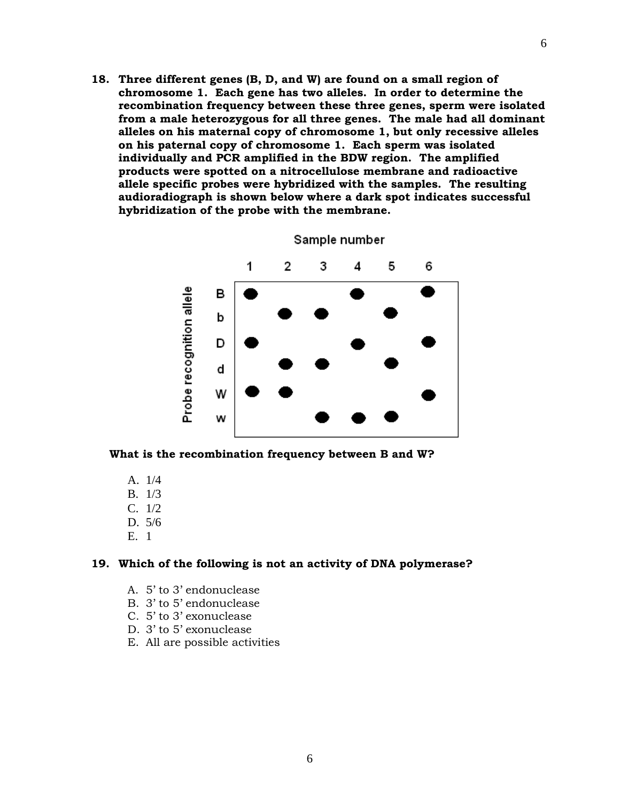**18. Three different genes (B, D, and W) are found on a small region of chromosome 1. Each gene has two alleles. In order to determine the recombination frequency between these three genes, sperm were isolated from a male heterozygous for all three genes. The male had all dominant alleles on his maternal copy of chromosome 1, but only recessive alleles on his paternal copy of chromosome 1. Each sperm was isolated individually and PCR amplified in the BDW region. The amplified products were spotted on a nitrocellulose membrane and radioactive allele specific probes were hybridized with the samples. The resulting audioradiograph is shown below where a dark spot indicates successful hybridization of the probe with the membrane.** 



Sample number

**What is the recombination frequency between B and W?**

- A. 1/4
- B. 1/3
- C. 1/2
- D. 5/6
- E. 1

#### **19. Which of the following is not an activity of DNA polymerase?**

- A. 5' to 3' endonuclease
- B. 3' to 5' endonuclease
- C. 5' to 3' exonuclease
- D. 3' to 5' exonuclease
- E. All are possible activities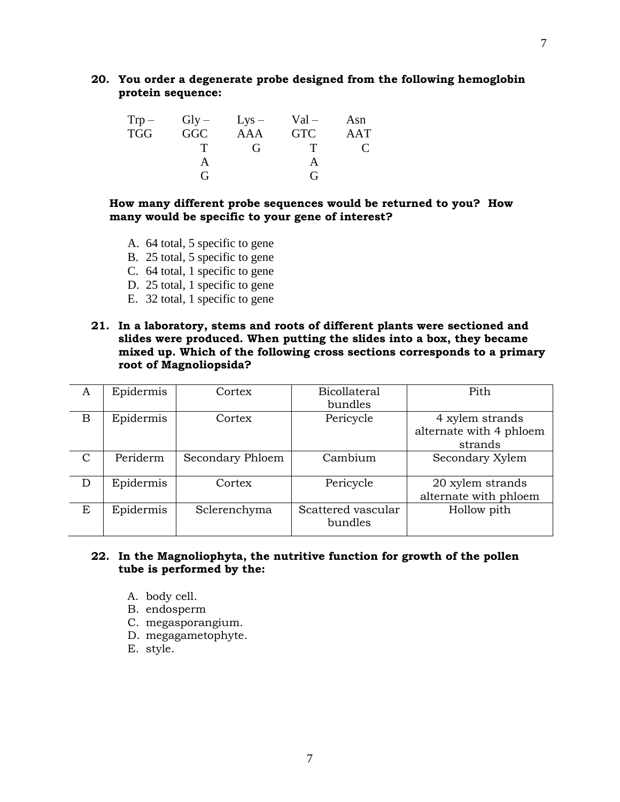**20. You order a degenerate probe designed from the following hemoglobin protein sequence:**

| $Trp -$    |            | $Gly - Lys -$ | $Val -$    | Asn |
|------------|------------|---------------|------------|-----|
| <b>TGG</b> | <b>GGC</b> | <b>AAA</b>    | <b>GTC</b> | AAT |
|            |            | $\mathbf{G}$  | т          |     |
|            |            |               |            |     |
|            | 7          |               | G          |     |

**How many different probe sequences would be returned to you? How many would be specific to your gene of interest?** 

- A. 64 total, 5 specific to gene
- B. 25 total, 5 specific to gene
- C. 64 total, 1 specific to gene
- D. 25 total, 1 specific to gene
- E. 32 total, 1 specific to gene
- **21. In a laboratory, stems and roots of different plants were sectioned and slides were produced. When putting the slides into a box, they became mixed up. Which of the following cross sections corresponds to a primary root of Magnoliopsida?**

| A             | Epidermis | Cortex           | <b>Bicollateral</b> | Pith                    |
|---------------|-----------|------------------|---------------------|-------------------------|
|               |           |                  | bundles             |                         |
| B             | Epidermis | Cortex           | Pericycle           | 4 xylem strands         |
|               |           |                  |                     | alternate with 4 phloem |
|               |           |                  |                     | strands                 |
| $\mathcal{C}$ | Periderm  | Secondary Phloem | Cambium             | Secondary Xylem         |
|               |           |                  |                     |                         |
| D             | Epidermis | Cortex           | Pericycle           | 20 xylem strands        |
|               |           |                  |                     | alternate with phloem   |
| E             | Epidermis | Sclerenchyma     | Scattered vascular  | Hollow pith             |
|               |           |                  | bundles             |                         |
|               |           |                  |                     |                         |

#### **22. In the Magnoliophyta, the nutritive function for growth of the pollen tube is performed by the:**

- A. body cell.
- B. endosperm
- C. megasporangium.
- D. megagametophyte.
- E. style.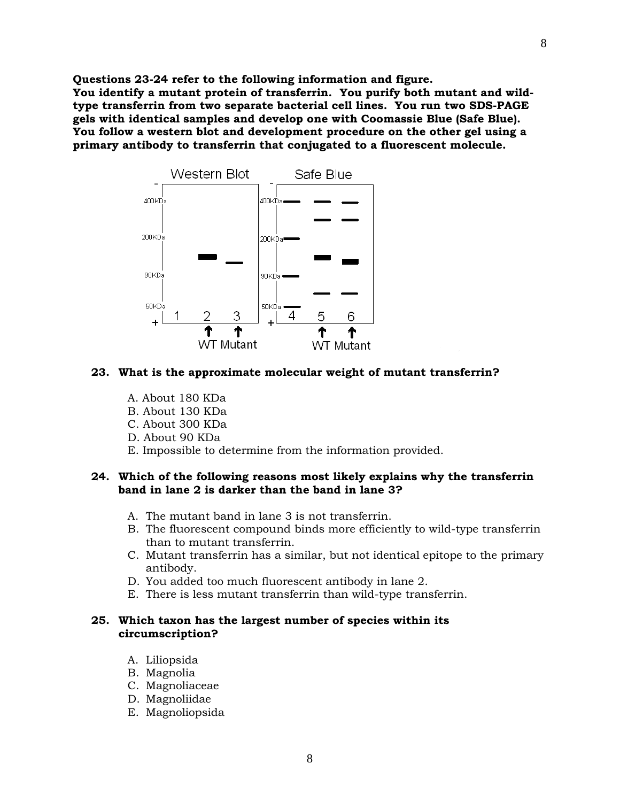**Questions 23-24 refer to the following information and figure. You identify a mutant protein of transferrin. You purify both mutant and wildtype transferrin from two separate bacterial cell lines. You run two SDS-PAGE gels with identical samples and develop one with Coomassie Blue (Safe Blue). You follow a western blot and development procedure on the other gel using a primary antibody to transferrin that conjugated to a fluorescent molecule.** 



#### **23. What is the approximate molecular weight of mutant transferrin?**

- A. About 180 KDa
- B. About 130 KDa
- C. About 300 KDa
- D. About 90 KDa
- E. Impossible to determine from the information provided.

#### **24. Which of the following reasons most likely explains why the transferrin band in lane 2 is darker than the band in lane 3?**

- A. The mutant band in lane 3 is not transferrin.
- B. The fluorescent compound binds more efficiently to wild-type transferrin than to mutant transferrin.
- C. Mutant transferrin has a similar, but not identical epitope to the primary antibody.
- D. You added too much fluorescent antibody in lane 2.
- E. There is less mutant transferrin than wild-type transferrin.

#### **25. Which taxon has the largest number of species within its circumscription?**

- A. Liliopsida
- B. Magnolia
- C. Magnoliaceae
- D. Magnoliidae
- E. [Magnoliopsida](http://www.csdl.tamu.edu/FLORA/Wilson/tfp/tfpe1s95.html#q17#q17)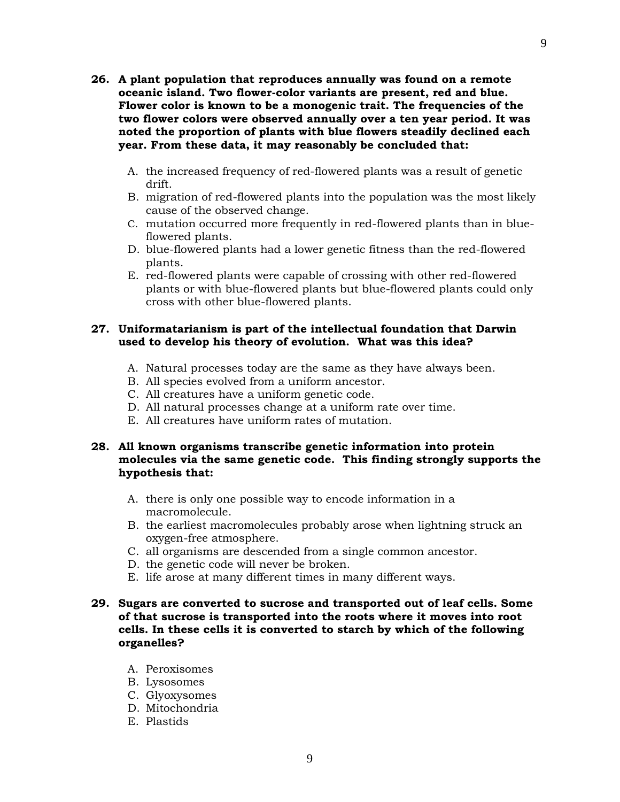- **26. A plant population that reproduces annually was found on a remote oceanic island. Two flower-color variants are present, red and blue. Flower color is known to be a monogenic trait. The frequencies of the two flower colors were observed annually over a ten year period. It was noted the proportion of plants with blue flowers steadily declined each year. From these data, it may reasonably be concluded that:**
	- A. the increased frequency of red-flowered plants was a result of genetic drift.
	- B. migration of red-flowered plants into the population was the most likely cause of the observed change.
	- C. mutation occurred more frequently in red-flowered plants than in blueflowered plants.
	- D. blue-flowered plants had a lower genetic fitness than the red-flowered plants.
	- E. red-flowered plants were capable of crossing with other red-flowered plants or with blue-flowered plants but blue-flowered plants could only cross with other blue-flowered plants.

#### **27. Uniformatarianism is part of the intellectual foundation that Darwin used to develop his theory of evolution. What was this idea?**

- A. Natural processes today are the same as they have always been.
- B. All species evolved from a uniform ancestor.
- C. All creatures have a uniform genetic code.
- D. All natural processes change at a uniform rate over time.
- E. All creatures have uniform rates of mutation.

#### **28. All known organisms transcribe genetic information into protein molecules via the same genetic code. This finding strongly supports the hypothesis that:**

- A. there is only one possible way to encode information in a macromolecule.
- B. the earliest macromolecules probably arose when lightning struck an oxygen-free atmosphere.
- C. all organisms are descended from a single common ancestor.
- D. the genetic code will never be broken.
- E. life arose at many different times in many different ways.

#### **29. Sugars are converted to sucrose and transported out of leaf cells. Some of that sucrose is transported into the roots where it moves into root cells. In these cells it is converted to starch by which of the following organelles?**

- A. Peroxisomes
- B. Lysosomes
- C. Glyoxysomes
- D. Mitochondria
- E. Plastids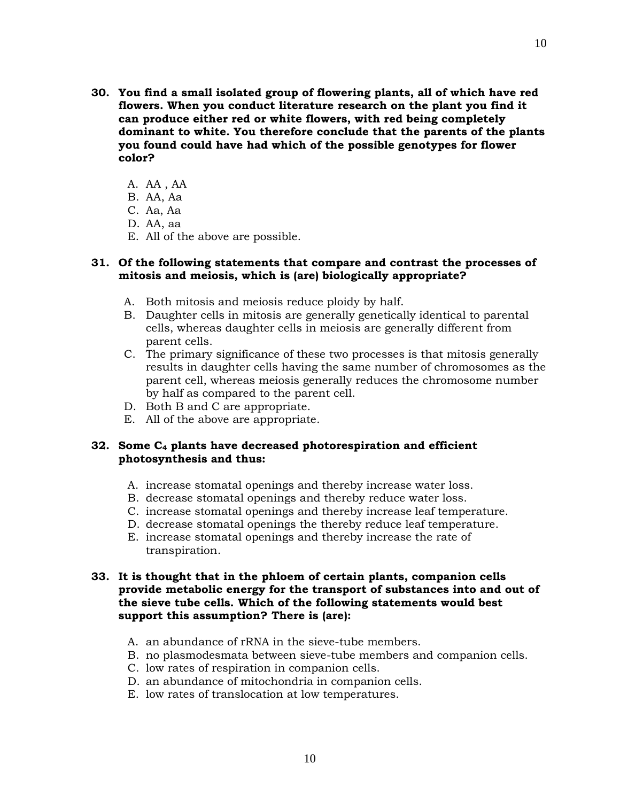- **30. You find a small isolated group of flowering plants, all of which have red flowers. When you conduct literature research on the plant you find it can produce either red or white flowers, with red being completely dominant to white. You therefore conclude that the parents of the plants you found could have had which of the possible genotypes for flower color?**
	- A. AA , AA
	- B. AA, Aa
	- C. Aa, Aa
	- D. AA, aa
	- E. All of the above are possible.

#### **31. Of the following statements that compare and contrast the processes of mitosis and meiosis, which is (are) biologically appropriate?**

- A. Both mitosis and meiosis reduce ploidy by half.
- B. Daughter cells in mitosis are generally genetically identical to parental cells, whereas daughter cells in meiosis are generally different from parent cells.
- C. The primary significance of these two processes is that mitosis generally results in daughter cells having the same number of chromosomes as the parent cell, whereas meiosis generally reduces the chromosome number by half as compared to the parent cell.
- D. Both B and C are appropriate.
- E. All of the above are appropriate.

## **32. Some C<sup>4</sup> plants have decreased photorespiration and efficient photosynthesis and thus:**

- A. increase stomatal openings and thereby increase water loss.
- B. decrease stomatal openings and thereby reduce water loss.
- C. increase stomatal openings and thereby increase leaf temperature.
- D. decrease stomatal openings the thereby reduce leaf temperature.
- E. increase stomatal openings and thereby increase the rate of transpiration.

#### **33. It is thought that in the phloem of certain plants, companion cells provide metabolic energy for the transport of substances into and out of the sieve tube cells. Which of the following statements would best support this assumption? There is (are):**

- A. an abundance of rRNA in the sieve-tube members.
- B. no plasmodesmata between sieve-tube members and companion cells.
- C. low rates of respiration in companion cells.
- D. an abundance of mitochondria in companion cells.
- E. low rates of translocation at low temperatures.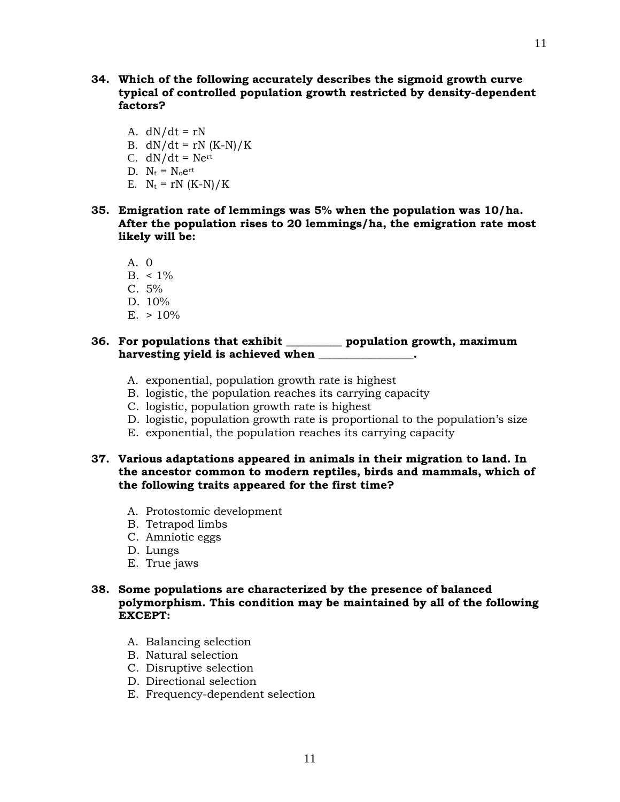- **34. Which of the following accurately describes the sigmoid growth curve typical of controlled population growth restricted by density-dependent factors?** 
	- A.  $dN/dt = rN$
	- B.  $dN/dt = rN (K-N)/K$
	- C.  $dN/dt = Ne^{rt}$
	- D.  $N_t = N_0 e^{rt}$
	- E.  $N_t = rN (K-N)/K$
- **35. Emigration rate of lemmings was 5% when the population was 10/ha. After the population rises to 20 lemmings/ha, the emigration rate most likely will be:**
	- A. 0
	- $B. < 1\%$
	- $C. 5%$
	- D. 10%
	- $E. > 10\%$

## **36. For populations that exhibit \_\_\_\_\_\_\_\_\_\_ population growth, maximum harvesting yield is achieved when \_\_\_\_\_\_\_\_\_\_\_\_\_\_\_\_\_.**

- A. exponential, population growth rate is highest
- B. logistic, the population reaches its carrying capacity
- C. logistic, population growth rate is highest
- D. logistic, population growth rate is proportional to the population's size
- E. exponential, the population reaches its carrying capacity

## **37. Various adaptations appeared in animals in their migration to land. In the ancestor common to modern reptiles, birds and mammals, which of the following traits appeared for the first time?**

- A. Protostomic development
- B. Tetrapod limbs
- C. Amniotic eggs
- D. Lungs
- E. True jaws

#### **38. Some populations are characterized by the presence of balanced polymorphism. This condition may be maintained by all of the following EXCEPT:**

- A. Balancing selection
- B. Natural selection
- C. Disruptive selection
- D. Directional selection
- E. Frequency-dependent selection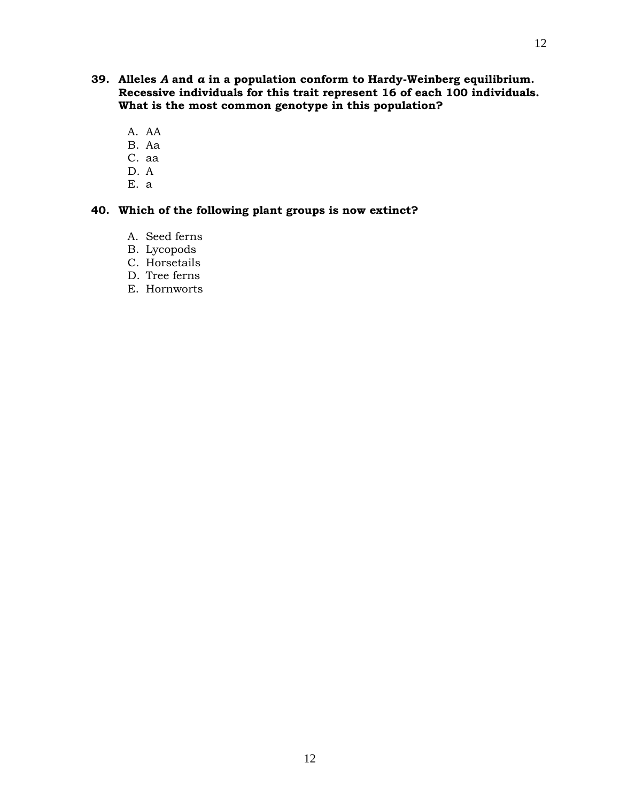- **39. Alleles** *A* **and** *a* **in a population conform to Hardy-Weinberg equilibrium. Recessive individuals for this trait represent 16 of each 100 individuals. What is the most common genotype in this population?**
	- A. AA
	- B. Aa
	- C. aa
	- D. A
	- E. a

## **40. Which of the following plant groups is now extinct?**

- A. Seed ferns
- B. Lycopods
- C. Horsetails
- D. Tree ferns
- E. Hornworts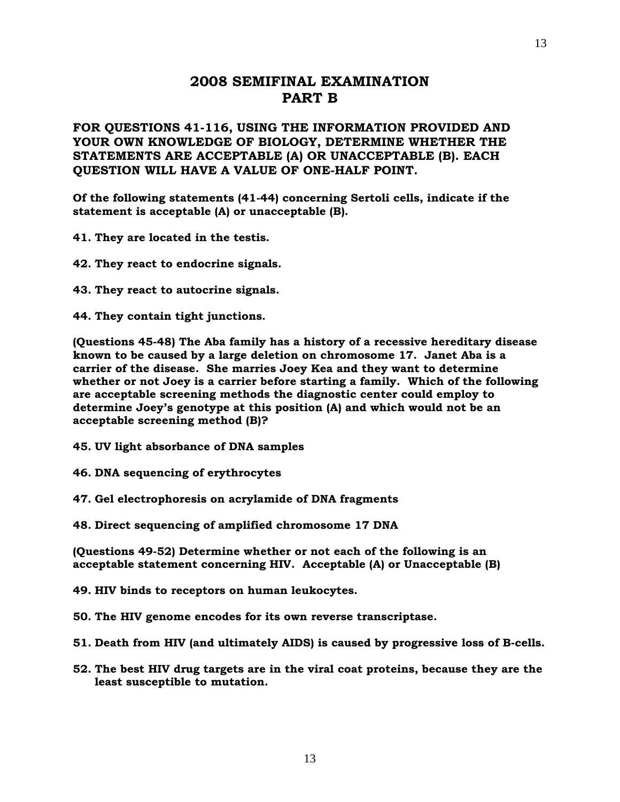## **2008 SEMIFINAL EXAMINATION PART B**

**FOR QUESTIONS 41-116, USING THE INFORMATION PROVIDED AND YOUR OWN KNOWLEDGE OF BIOLOGY, DETERMINE WHETHER THE STATEMENTS ARE ACCEPTABLE (A) OR UNACCEPTABLE (B). EACH QUESTION WILL HAVE A VALUE OF ONE-HALF POINT.**

**Of the following statements (41-44) concerning Sertoli cells, indicate if the statement is acceptable (A) or unacceptable (B).** 

**41. They are located in the testis.**

**42. They react to endocrine signals.**

- **43. They react to autocrine signals.**
- **44. They contain tight junctions.**

**(Questions 45-48) The Aba family has a history of a recessive hereditary disease known to be caused by a large deletion on chromosome 17. Janet Aba is a carrier of the disease. She marries Joey Kea and they want to determine whether or not Joey is a carrier before starting a family. Which of the following are acceptable screening methods the diagnostic center could employ to determine Joey's genotype at this position (A) and which would not be an acceptable screening method (B)?** 

- **45. UV light absorbance of DNA samples**
- **46. DNA sequencing of erythrocytes**
- **47. Gel electrophoresis on acrylamide of DNA fragments**

**48. Direct sequencing of amplified chromosome 17 DNA**

**(Questions 49-52) Determine whether or not each of the following is an acceptable statement concerning HIV. Acceptable (A) or Unacceptable (B)** 

**49. HIV binds to receptors on human leukocytes.**

**50. The HIV genome encodes for its own reverse transcriptase.**

**51. Death from HIV (and ultimately AIDS) is caused by progressive loss of B-cells.**

**52. The best HIV drug targets are in the viral coat proteins, because they are the least susceptible to mutation.**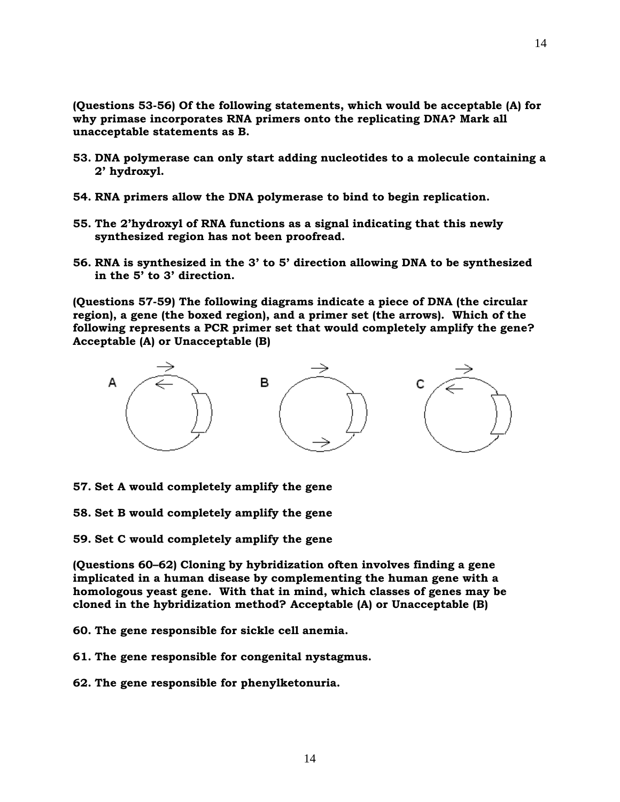**(Questions 53-56) Of the following statements, which would be acceptable (A) for why primase incorporates RNA primers onto the replicating DNA? Mark all unacceptable statements as B.**

- **53. DNA polymerase can only start adding nucleotides to a molecule containing a 2' hydroxyl.**
- **54. RNA primers allow the DNA polymerase to bind to begin replication.**
- **55. The 2'hydroxyl of RNA functions as a signal indicating that this newly synthesized region has not been proofread.**
- **56. RNA is synthesized in the 3' to 5' direction allowing DNA to be synthesized in the 5' to 3' direction.**

**(Questions 57-59) The following diagrams indicate a piece of DNA (the circular region), a gene (the boxed region), and a primer set (the arrows). Which of the following represents a PCR primer set that would completely amplify the gene? Acceptable (A) or Unacceptable (B)** 



- **57. Set A would completely amplify the gene**
- **58. Set B would completely amplify the gene**
- **59. Set C would completely amplify the gene**

**(Questions 60–62) Cloning by hybridization often involves finding a gene implicated in a human disease by complementing the human gene with a homologous yeast gene. With that in mind, which classes of genes may be cloned in the hybridization method? Acceptable (A) or Unacceptable (B)** 

**60. The gene responsible for sickle cell anemia.**

**61. The gene responsible for congenital nystagmus.**

**62. The gene responsible for phenylketonuria.**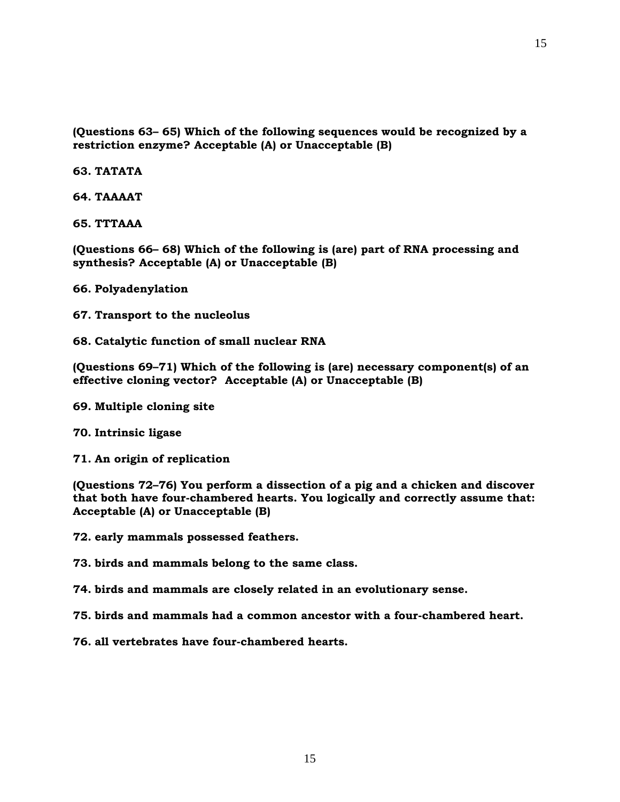**(Questions 63– 65) Which of the following sequences would be recognized by a restriction enzyme? Acceptable (A) or Unacceptable (B)** 

**63. TATATA**

**64. TAAAAT**

**65. TTTAAA**

**(Questions 66– 68) Which of the following is (are) part of RNA processing and synthesis? Acceptable (A) or Unacceptable (B)** 

**66. Polyadenylation**

**67. Transport to the nucleolus**

**68. Catalytic function of small nuclear RNA**

**(Questions 69–71) Which of the following is (are) necessary component(s) of an effective cloning vector? Acceptable (A) or Unacceptable (B)** 

- **69. Multiple cloning site**
- **70. Intrinsic ligase**
- **71. An origin of replication**

**(Questions 72–76) You perform a dissection of a pig and a chicken and discover that both have four-chambered hearts. You logically and correctly assume that: Acceptable (A) or Unacceptable (B)** 

**72. early mammals possessed feathers.**

**73. birds and mammals belong to the same class.**

- **74. birds and mammals are closely related in an evolutionary sense.**
- **75. birds and mammals had a common ancestor with a four-chambered heart.**
- **76. all vertebrates have four-chambered hearts.**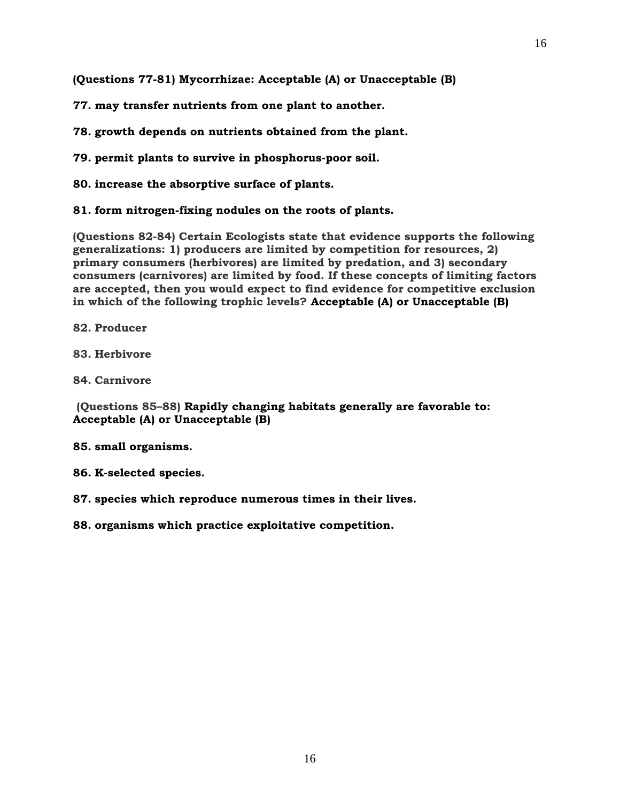**(Questions 77-81) Mycorrhizae: Acceptable (A) or Unacceptable (B)** 

**77. may transfer nutrients from one plant to another.**

**78. growth depends on nutrients obtained from the plant.**

**79. permit plants to survive in phosphorus-poor soil.**

**80. increase the absorptive surface of plants.**

**81. form nitrogen-fixing nodules on the roots of plants.**

**(Questions 82-84) Certain Ecologists state that evidence supports the following generalizations: 1) producers are limited by competition for resources, 2) primary consumers (herbivores) are limited by predation, and 3) secondary consumers (carnivores) are limited by food. If these concepts of limiting factors are accepted, then you would expect to find evidence for competitive exclusion in which of the following trophic levels? Acceptable (A) or Unacceptable (B)** 

**82. Producer**

**83. Herbivore**

**84. Carnivore**

**(Questions 85–88) Rapidly changing habitats generally are favorable to: Acceptable (A) or Unacceptable (B)** 

**85. small organisms.**

**86. K-selected species.** 

**87. species which reproduce numerous times in their lives.** 

**88. organisms which practice exploitative competition.**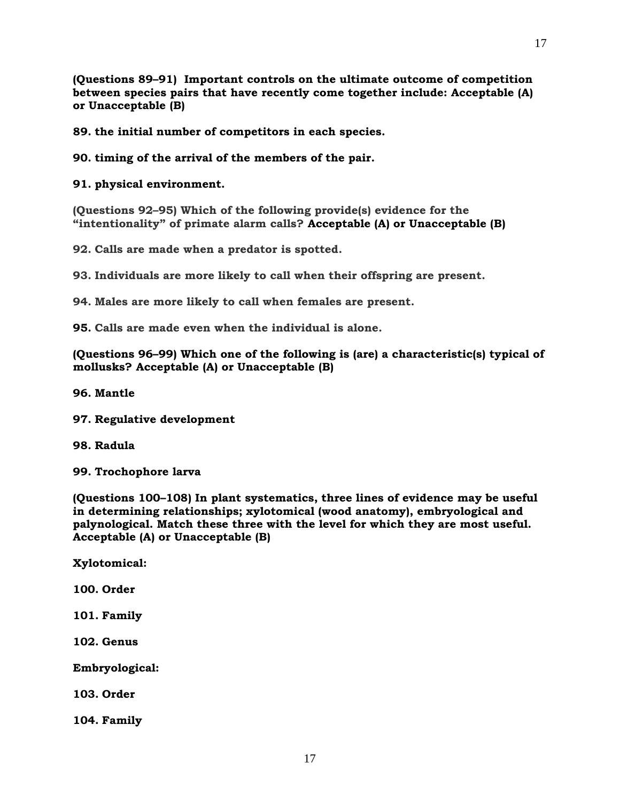**(Questions 89–91) Important controls on the ultimate outcome of competition between species pairs that have recently come together include: Acceptable (A) or Unacceptable (B)** 

**89. the initial number of competitors in each species.** 

**90. timing of the arrival of the members of the pair.** 

**91. physical environment.** 

**(Questions 92–95) Which of the following provide(s) evidence for the "intentionality" of primate alarm calls? Acceptable (A) or Unacceptable (B)** 

**92. Calls are made when a predator is spotted.**

**93. Individuals are more likely to call when their offspring are present.**

**94. Males are more likely to call when females are present.**

**95. Calls are made even when the individual is alone.**

**(Questions 96–99) Which one of the following is (are) a characteristic(s) typical of mollusks? Acceptable (A) or Unacceptable (B)** 

**96. Mantle**

**97. Regulative development**

**98. Radula**

**99. Trochophore larva**

**(Questions 100–108) In plant systematics, three lines of evidence may be useful in determining relationships; xylotomical (wood anatomy), embryological and palynological. Match these three with the level for which they are most useful. Acceptable (A) or Unacceptable (B)** 

**Xylotomical:**

**100. Order**

**101. Family**

**102. Genus**

**Embryological:**

**103. Order**

**104. Family**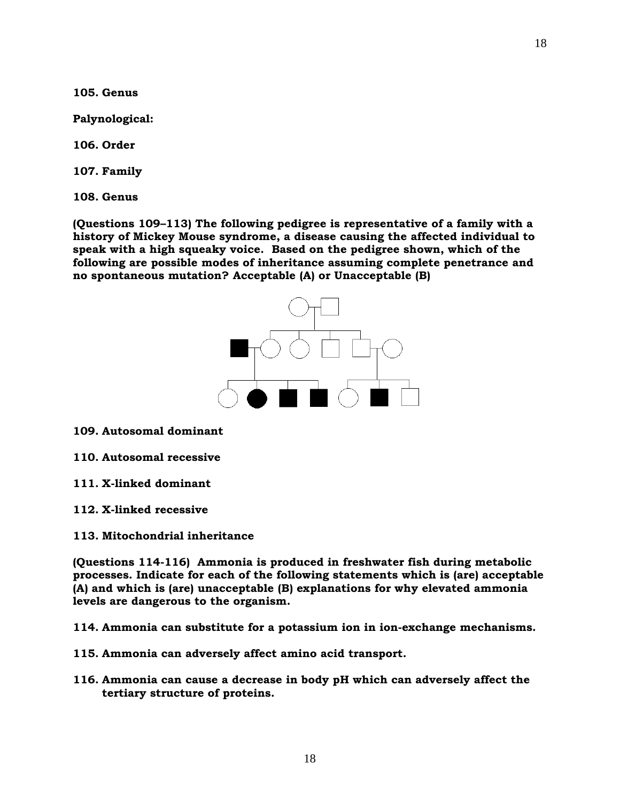**105. Genus**

**Palynological:**

**106. Order**

**107. Family**

**108. Genus**

**(Questions 109–113) The following pedigree is representative of a family with a history of Mickey Mouse syndrome, a disease causing the affected individual to speak with a high squeaky voice. Based on the pedigree shown, which of the following are possible modes of inheritance assuming complete penetrance and no spontaneous mutation? Acceptable (A) or Unacceptable (B)** 



**109. Autosomal dominant**

**110. Autosomal recessive**

- **111. X-linked dominant**
- **112. X-linked recessive**
- **113. Mitochondrial inheritance**

**(Questions 114-116) Ammonia is produced in freshwater fish during metabolic processes. Indicate for each of the following statements which is (are) acceptable (A) and which is (are) unacceptable (B) explanations for why elevated ammonia levels are dangerous to the organism.** 

**114. Ammonia can substitute for a potassium ion in ion-exchange mechanisms.**

- **115. Ammonia can adversely affect amino acid transport.**
- **116. Ammonia can cause a decrease in body pH which can adversely affect the tertiary structure of proteins.**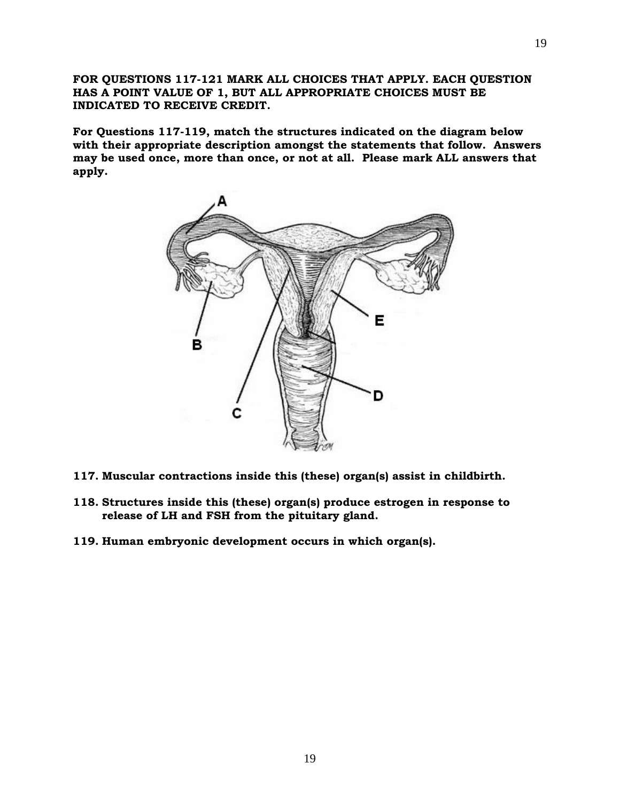**FOR QUESTIONS 117-121 MARK ALL CHOICES THAT APPLY. EACH QUESTION HAS A POINT VALUE OF 1, BUT ALL APPROPRIATE CHOICES MUST BE INDICATED TO RECEIVE CREDIT.**

**For Questions 117-119, match the structures indicated on the diagram below with their appropriate description amongst the statements that follow. Answers may be used once, more than once, or not at all. Please mark ALL answers that apply.**



- **117. Muscular contractions inside this (these) organ(s) assist in childbirth.**
- **118. Structures inside this (these) organ(s) produce estrogen in response to release of LH and FSH from the pituitary gland.**
- **119. Human embryonic development occurs in which organ(s).**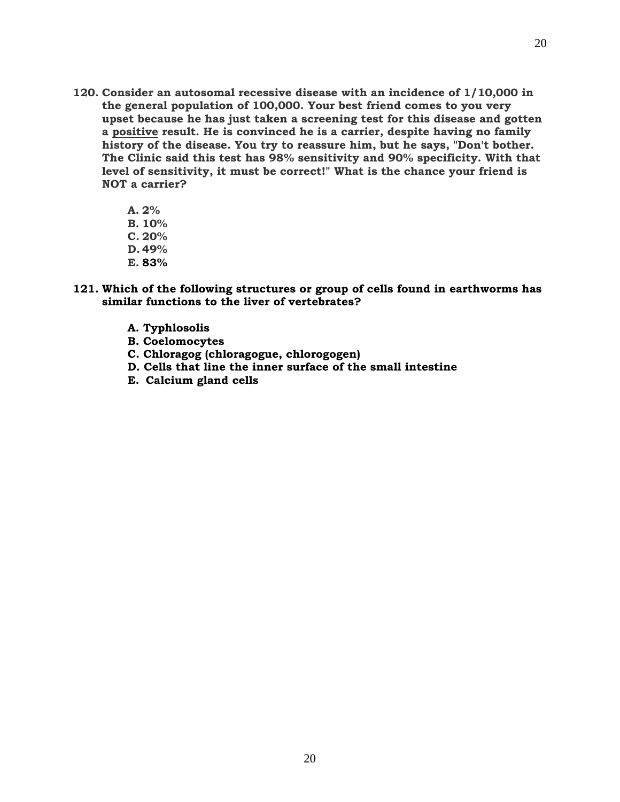- **120. Consider an autosomal recessive disease with an incidence of 1/10,000 in the general population of 100,000. Your best friend comes to you very upset because he has just taken a screening test for this disease and gotten a positive result. He is convinced he is a carrier, despite having no family history of the disease. You try to reassure him, but he says, "Don't bother. The Clinic said this test has 98% sensitivity and 90% specificity. With that level of sensitivity, it must be correct!" What is the chance your friend is NOT a carrier?**
	- **A. 2%**
	- **B. 10%**
	- **C. 20%**
	- **D. 49%**
	- **E. 83%**
- **121. Which of the following structures or group of cells found in earthworms has similar functions to the liver of vertebrates?**
	- **A. Typhlosolis**
	- **B. Coelomocytes**
	- **C. Chloragog (chloragogue, chlorogogen)**
	- **D. Cells that line the inner surface of the small intestine**
	- **E. Calcium gland cells**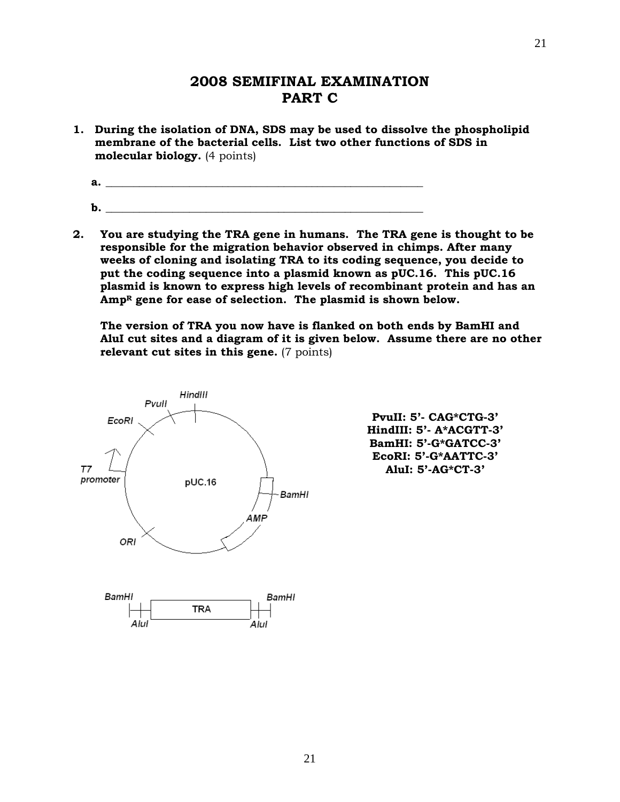## **2008 SEMIFINAL EXAMINATION PART C**

**1. During the isolation of DNA, SDS may be used to dissolve the phospholipid membrane of the bacterial cells. List two other functions of SDS in molecular biology.** (4 points)

a. <u>\_\_\_\_\_\_\_\_\_\_\_\_\_\_\_\_\_</u>

- **b.**  $\blacksquare$
- **2. You are studying the TRA gene in humans. The TRA gene is thought to be responsible for the migration behavior observed in chimps. After many weeks of cloning and isolating TRA to its coding sequence, you decide to put the coding sequence into a plasmid known as pUC.16. This pUC.16 plasmid is known to express high levels of recombinant protein and has an Amp<sup>R</sup> gene for ease of selection. The plasmid is shown below.**

**The version of TRA you now have is flanked on both ends by BamHI and AluI cut sites and a diagram of it is given below. Assume there are no other relevant cut sites in this gene.** (7 points)



**PvuII: 5'- CAG\*CTG-3' HindIII: 5'- A\*ACGTT-3' BamHI: 5'-G\*GATCC-3' EcoRI: 5'-G\*AATTC-3' AluI: 5'-AG\*CT-3'**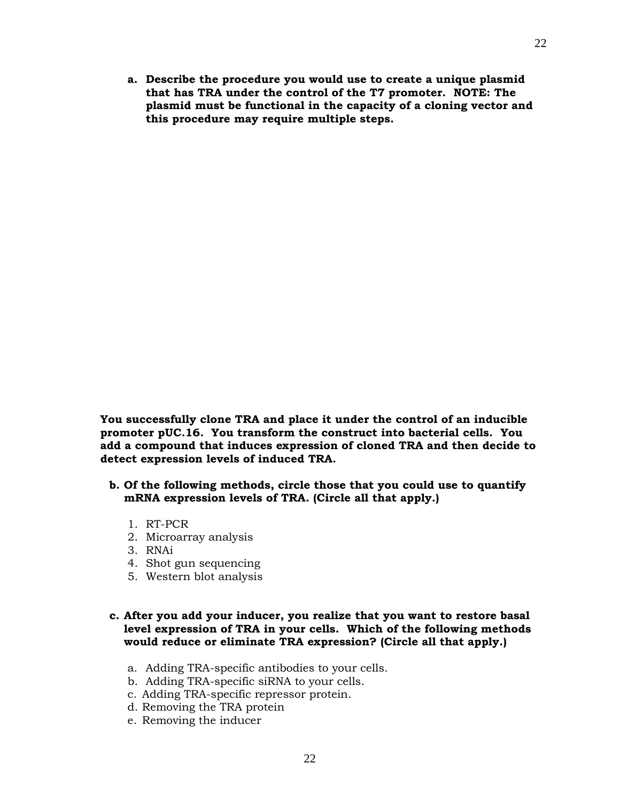**a. Describe the procedure you would use to create a unique plasmid that has TRA under the control of the T7 promoter. NOTE: The plasmid must be functional in the capacity of a cloning vector and this procedure may require multiple steps.**

**You successfully clone TRA and place it under the control of an inducible promoter pUC.16. You transform the construct into bacterial cells. You add a compound that induces expression of cloned TRA and then decide to detect expression levels of induced TRA.**

- **b. Of the following methods, circle those that you could use to quantify mRNA expression levels of TRA. (Circle all that apply.)**
	- 1. RT-PCR
	- 2. Microarray analysis
	- 3. RNAi
	- 4. Shot gun sequencing
	- 5. Western blot analysis

#### **c. After you add your inducer, you realize that you want to restore basal level expression of TRA in your cells. Which of the following methods would reduce or eliminate TRA expression? (Circle all that apply.)**

- a. Adding TRA-specific antibodies to your cells.
- b. Adding TRA-specific siRNA to your cells.
- c. Adding TRA-specific repressor protein.
- d. Removing the TRA protein
- e. Removing the inducer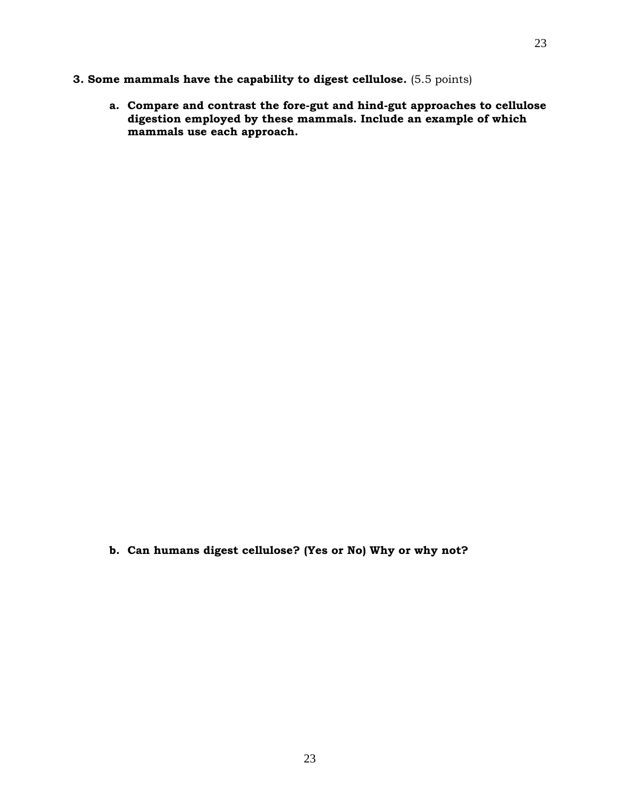## **3. Some mammals have the capability to digest cellulose.** (5.5 points)

**a. Compare and contrast the fore-gut and hind-gut approaches to cellulose digestion employed by these mammals. Include an example of which mammals use each approach.** 

**b. Can humans digest cellulose? (Yes or No) Why or why not?**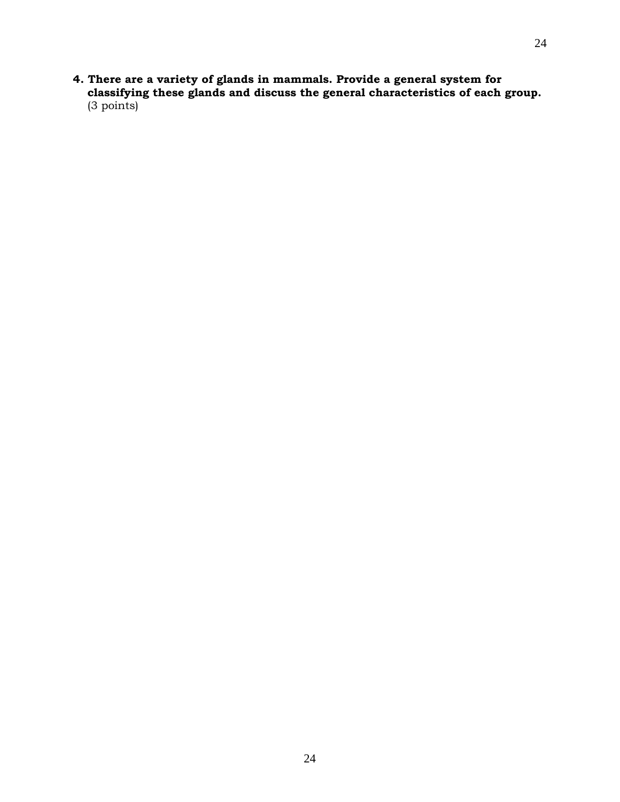**4. There are a variety of glands in mammals. Provide a general system for classifying these glands and discuss the general characteristics of each group.**  (3 points)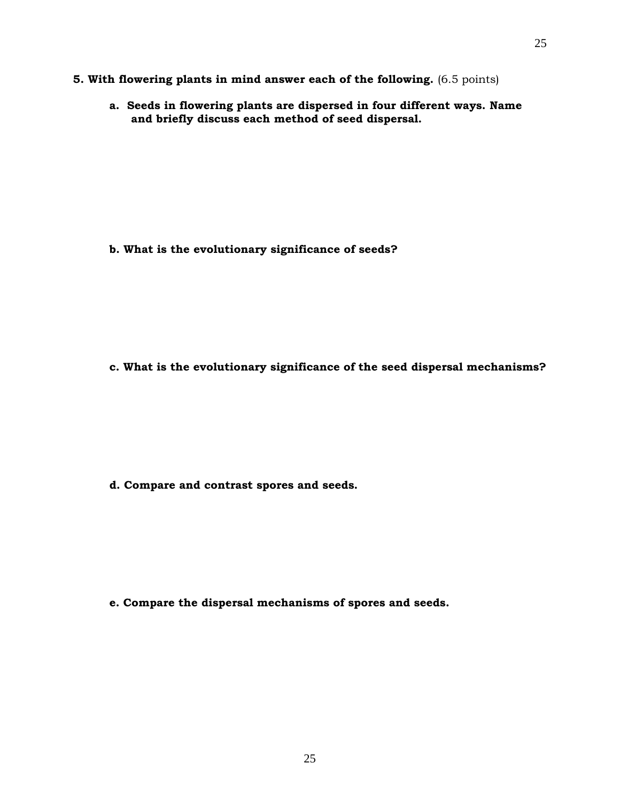- **5. With flowering plants in mind answer each of the following.** (6.5 points)
	- **a. Seeds in flowering plants are dispersed in four different ways. Name and briefly discuss each method of seed dispersal.**

**b. What is the evolutionary significance of seeds?**

**c. What is the evolutionary significance of the seed dispersal mechanisms?** 

**d. Compare and contrast spores and seeds.**

**e. Compare the dispersal mechanisms of spores and seeds.**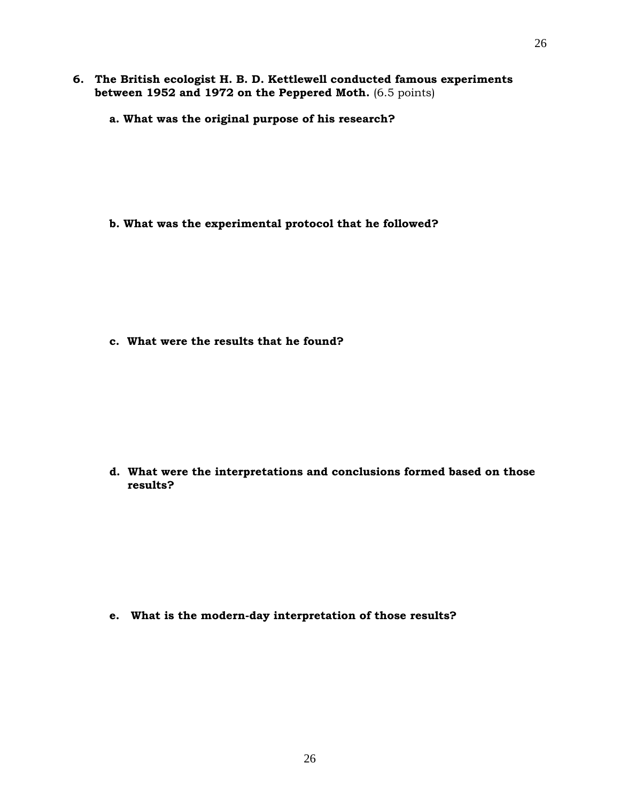- **6. The British ecologist H. B. D. Kettlewell conducted famous experiments between 1952 and 1972 on the Peppered Moth.** (6.5 points)
	- **a. What was the original purpose of his research?**

**b. What was the experimental protocol that he followed?** 

**c. What were the results that he found?** 

**d. What were the interpretations and conclusions formed based on those results?**

**e. What is the modern-day interpretation of those results?**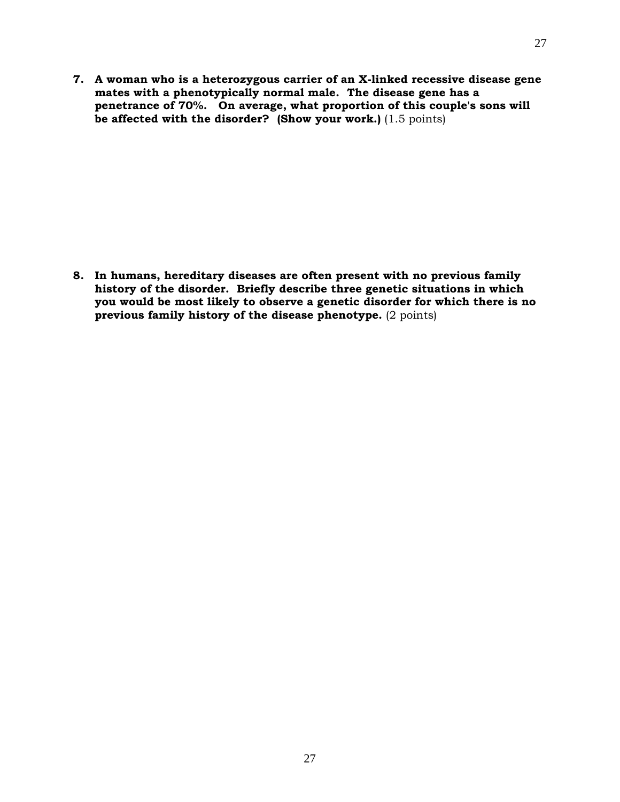**7. A woman who is a heterozygous carrier of an X-linked recessive disease gene mates with a phenotypically normal male. The disease gene has a penetrance of 70%. On average, what proportion of this couple's sons will be affected with the disorder?** (Show your work.) (1.5 points)

**8. In humans, hereditary diseases are often present with no previous family history of the disorder. Briefly describe three genetic situations in which you would be most likely to observe a genetic disorder for which there is no previous family history of the disease phenotype.** (2 points)